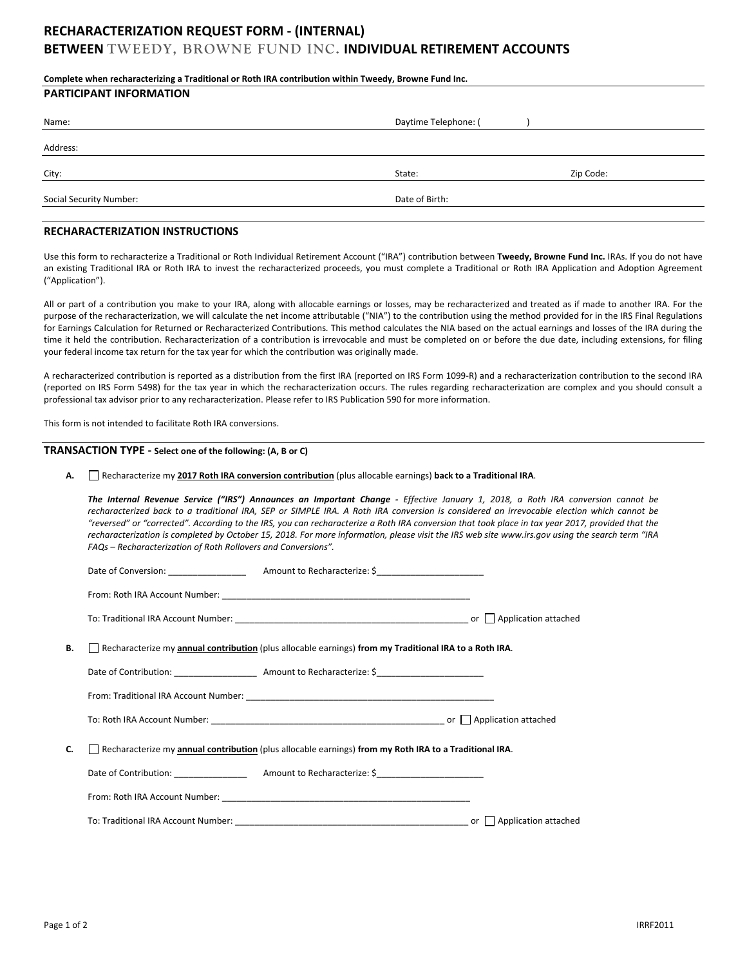# **RECHARACTERIZATION REQUEST FORM - (INTERNAL)**

# **BETWEEN TWEEDY, BROWNE FUND INC. INDIVIDUAL RETIREMENT ACCOUNTS**

| Complete when recharacterizing a Traditional or Roth IRA contribution within Tweedy, Browne Fund Inc. |                      |           |  |  |  |
|-------------------------------------------------------------------------------------------------------|----------------------|-----------|--|--|--|
| <b>PARTICIPANT INFORMATION</b>                                                                        |                      |           |  |  |  |
| Name:                                                                                                 | Daytime Telephone: ( |           |  |  |  |
| Address:                                                                                              |                      |           |  |  |  |
| City:                                                                                                 | State:               | Zip Code: |  |  |  |
| <b>Social Security Number:</b>                                                                        | Date of Birth:       |           |  |  |  |

#### **RECHARACTERIZATION INSTRUCTIONS**

Use this form to recharacterize a Traditional or Roth Individual Retirement Account ("IRA") contribution between **Tweedy, Browne Fund Inc.** IRAs. If you do not have an existing Traditional IRA or Roth IRA to invest the recharacterized proceeds, you must complete a Traditional or Roth IRA Application and Adoption Agreement ("Application").

All or part of a contribution you make to your IRA, along with allocable earnings or losses, may be recharacterized and treated as if made to another IRA. For the purpose of the recharacterization, we will calculate the net income attributable ("NIA") to the contribution using the method provided for in the IRS Final Regulations for Earnings Calculation for Returned or Recharacterized Contributions*.* This method calculates the NIA based on the actual earnings and losses of the IRA during the time it held the contribution. Recharacterization of a contribution is irrevocable and must be completed on or before the due date, including extensions, for filing your federal income tax return for the tax year for which the contribution was originally made.

A recharacterized contribution is reported as a distribution from the first IRA (reported on IRS Form 1099-R) and a recharacterization contribution to the second IRA (reported on IRS Form 5498) for the tax year in which the recharacterization occurs. The rules regarding recharacterization are complex and you should consult a professional tax advisor prior to any recharacterization. Please refer to IRS Publication 590 for more information.

This form is not intended to facilitate Roth IRA conversions.

### **TRANSACTION TYPE - Select one of the following: (A, B or C)**

**A.** Recharacterize my **2017 Roth IRA conversion contribution** (plus allocable earnings) **back to a Traditional IRA**.

The Internal Revenue Service ("IRS") Announces an Important Change - *Effective January 1, 2018, a Roth IRA conversion cannot be recharacterized back to a traditional IRA, SEP or SIMPLE IRA. A Roth IRA conversion is considered an irrevocable election which cannot be "reversed" or "corrected". According to the IRS, you can recharacterize a Roth IRA conversion that took place in tax year 2017, provided that the recharacterization is completed by October 15, 2018. For more information, please visit the IRS web site www.irs.gov using the search term "IRA FAQs – Recharacterization of Roth Rollovers and Conversions".*

| В. | Recharacterize my annual contribution (plus allocable earnings) from my Traditional IRA to a Roth IRA. |                                                                                                               |  |
|----|--------------------------------------------------------------------------------------------------------|---------------------------------------------------------------------------------------------------------------|--|
|    |                                                                                                        |                                                                                                               |  |
|    |                                                                                                        |                                                                                                               |  |
|    |                                                                                                        |                                                                                                               |  |
| C. |                                                                                                        | $\Box$ Recharacterize my annual contribution (plus allocable earnings) from my Roth IRA to a Traditional IRA. |  |
|    |                                                                                                        | Date of Contribution: Amount to Recharacterize: \$                                                            |  |
|    |                                                                                                        |                                                                                                               |  |
|    |                                                                                                        |                                                                                                               |  |